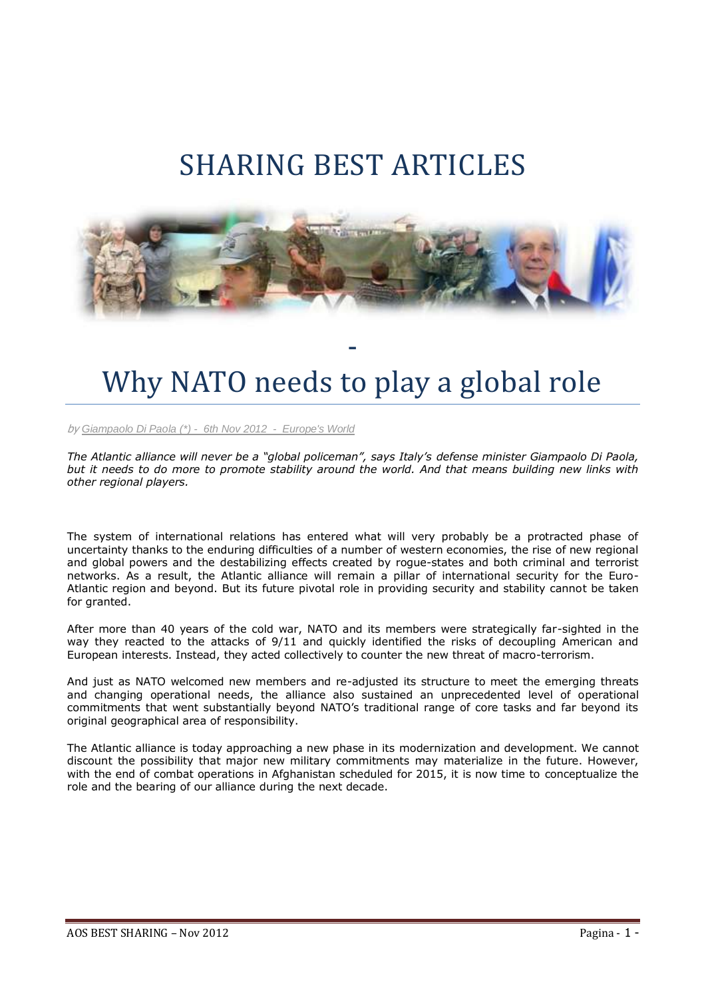## SHARING BEST ARTICLES



## Why NATO needs to play a global role

-

by *[Giampaolo Di Paola](http://www.europesworld.org/NewEnglish/Home_old/PublicProfile/tabid/690/UserID/8830/language/en-US/Default.aspx) (\*) - 6th Nov 2012 - Europe's World*

*The Atlantic alliance will never be a "global policeman", says Italy's defense minister Giampaolo Di Paola, but it needs to do more to promote stability around the world. And that means building new links with other regional players.*

The system of international relations has entered what will very probably be a protracted phase of uncertainty thanks to the enduring difficulties of a number of western economies, the rise of new regional and global powers and the destabilizing effects created by rogue-states and both criminal and terrorist networks. As a result, the Atlantic alliance will remain a pillar of international security for the Euro-Atlantic region and beyond. But its future pivotal role in providing security and stability cannot be taken for granted.

After more than 40 years of the cold war, NATO and its members were strategically far-sighted in the way they reacted to the attacks of 9/11 and quickly identified the risks of decoupling American and European interests. Instead, they acted collectively to counter the new threat of macro-terrorism.

And just as NATO welcomed new members and re-adjusted its structure to meet the emerging threats and changing operational needs, the alliance also sustained an unprecedented level of operational commitments that went substantially beyond NATO's traditional range of core tasks and far beyond its original geographical area of responsibility.

The Atlantic alliance is today approaching a new phase in its modernization and development. We cannot discount the possibility that major new military commitments may materialize in the future. However, with the end of combat operations in Afghanistan scheduled for 2015, it is now time to conceptualize the role and the bearing of our alliance during the next decade.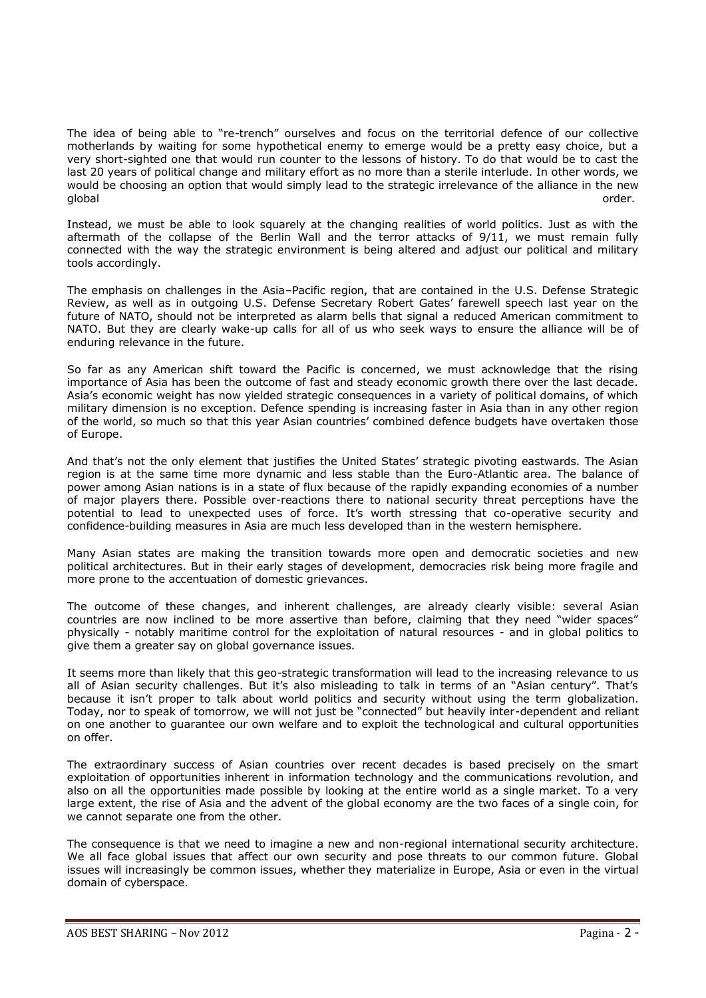The idea of being able to "re-trench" ourselves and focus on the territorial defence of our collective motherlands by waiting for some hypothetical enemy to emerge would be a pretty easy choice, but a very short-sighted one that would run counter to the lessons of history. To do that would be to cast the last 20 years of political change and military effort as no more than a sterile interlude. In other words, we would be choosing an option that would simply lead to the strategic irrelevance of the alliance in the new global order. The contract of the contract of the contract of the contract of the contract of the contract order.

Instead, we must be able to look squarely at the changing realities of world politics. Just as with the aftermath of the collapse of the Berlin Wall and the terror attacks of 9/11, we must remain fully connected with the way the strategic environment is being altered and adjust our political and military tools accordingly.

The emphasis on challenges in the Asia–Pacific region, that are contained in the U.S. Defense Strategic Review, as well as in outgoing U.S. Defense Secretary Robert Gates' farewell speech last year on the future of NATO, should not be interpreted as alarm bells that signal a reduced American commitment to NATO. But they are clearly wake-up calls for all of us who seek ways to ensure the alliance will be of enduring relevance in the future.

So far as any American shift toward the Pacific is concerned, we must acknowledge that the rising importance of Asia has been the outcome of fast and steady economic growth there over the last decade. Asia's economic weight has now yielded strategic consequences in a variety of political domains, of which military dimension is no exception. Defence spending is increasing faster in Asia than in any other region of the world, so much so that this year Asian countries' combined defence budgets have overtaken those of Europe.

And that's not the only element that justifies the United States' strategic pivoting eastwards. The Asian region is at the same time more dynamic and less stable than the Euro-Atlantic area. The balance of power among Asian nations is in a state of flux because of the rapidly expanding economies of a number of major players there. Possible over-reactions there to national security threat perceptions have the potential to lead to unexpected uses of force. It's worth stressing that co-operative security and confidence-building measures in Asia are much less developed than in the western hemisphere.

Many Asian states are making the transition towards more open and democratic societies and new political architectures. But in their early stages of development, democracies risk being more fragile and more prone to the accentuation of domestic grievances.

The outcome of these changes, and inherent challenges, are already clearly visible: several Asian countries are now inclined to be more assertive than before, claiming that they need "wider spaces" physically - notably maritime control for the exploitation of natural resources - and in global politics to give them a greater say on global governance issues.

It seems more than likely that this geo-strategic transformation will lead to the increasing relevance to us all of Asian security challenges. But it's also misleading to talk in terms of an "Asian century". That's because it isn't proper to talk about world politics and security without using the term globalization. Today, nor to speak of tomorrow, we will not just be "connected" but heavily inter-dependent and reliant on one another to guarantee our own welfare and to exploit the technological and cultural opportunities on offer.

The extraordinary success of Asian countries over recent decades is based precisely on the smart exploitation of opportunities inherent in information technology and the communications revolution, and also on all the opportunities made possible by looking at the entire world as a single market. To a very large extent, the rise of Asia and the advent of the global economy are the two faces of a single coin, for we cannot separate one from the other.

The consequence is that we need to imagine a new and non-regional international security architecture. We all face global issues that affect our own security and pose threats to our common future. Global issues will increasingly be common issues, whether they materialize in Europe, Asia or even in the virtual domain of cyberspace.